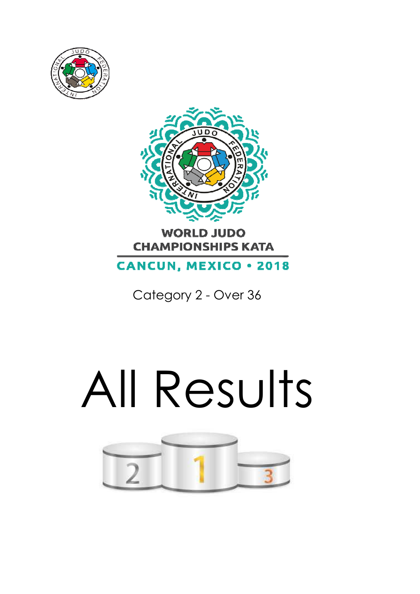



# **WORLD JUDO CHAMPIONSHIPS KATA**

**CANCUN, MEXICO . 2018** 

Category 2 - Over 36

# All Results

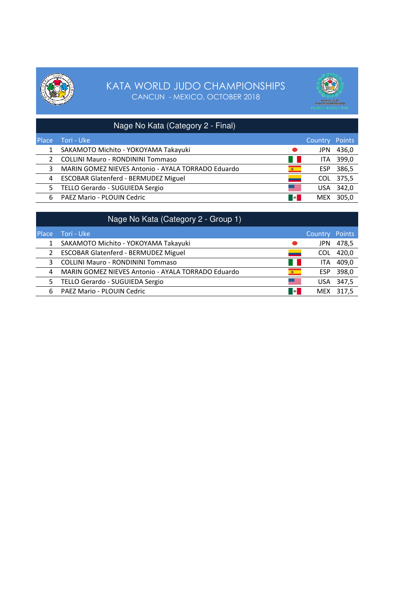



|              | Nage No Kata (Category 2 - Final)                  |             |                       |           |
|--------------|----------------------------------------------------|-------------|-----------------------|-----------|
| <b>Place</b> | ا Tori - Uke                                       |             | <b>Country Points</b> |           |
| 1            | SAKAMOTO Michito - YOKOYAMA Takayuki               | <b>. .</b>  | JPN                   | 436,0     |
| 2            | <b>COLLINI Mauro - RONDININI Tommaso</b>           | a ka        |                       | ITA 399,0 |
| 3            | MARIN GOMEZ NIEVES Antonio - AYALA TORRADO Eduardo | 80 1        | <b>ESP</b>            | 386,5     |
| 4            | <b>ESCOBAR Glatenferd - BERMUDEZ Miguel</b>        | <u>—</u>    | COL                   | 375,5     |
| 5.           | TELLO Gerardo - SUGUIEDA Sergio                    | <u> Ser</u> |                       | USA 342,0 |
| 6            | <b>PAEZ Mario - PLOUIN Cedric</b>                  | <b>B</b>    | <b>MEX</b>            | 305.0     |

|                | Nage No Kata (Category 2 - Group 1)                |                  |                       |       |
|----------------|----------------------------------------------------|------------------|-----------------------|-------|
| <b>Place</b>   | Tori - Uke                                         |                  | <b>Country Points</b> |       |
|                | SAKAMOTO Michito - YOKOYAMA Takayuki               | $\bullet$        | JPN.                  | 478,5 |
| $\overline{2}$ | <b>ESCOBAR Glatenferd - BERMUDEZ Miguel</b>        | -                | COL.                  | 420,0 |
| 3              | <b>COLLINI Mauro - RONDININI Tommaso</b>           | a ka             | ITA.                  | 409,0 |
| 4              | MARIN GOMEZ NIEVES Antonio - AYALA TORRADO Eduardo | 卷                | <b>ESP</b>            | 398,0 |
| 5.             | TELLO Gerardo - SUGUIEDA Sergio                    | ▀▀               | USA                   | 347,5 |
| 6              | PAEZ Mario - PLOUIN Cedric                         | <b>Septiment</b> | MEX                   | 317.5 |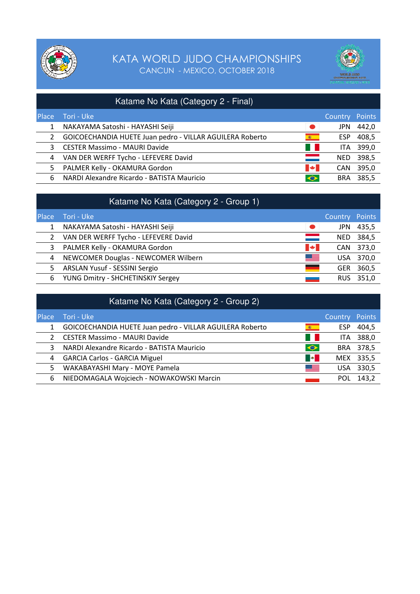



| Katame No Kata (Category 2 - Final) |                                                          |                     |                |           |
|-------------------------------------|----------------------------------------------------------|---------------------|----------------|-----------|
| <b>Place</b>                        | i Tori - Uke '                                           |                     | Country Points |           |
| 1                                   | NAKAYAMA Satoshi - HAYASHI Seiji                         | $\bullet$           | JPN.           | 442,0     |
| 2                                   | GOICOECHANDIA HUETE Juan pedro - VILLAR AGUILERA Roberto | $\mathcal{R} =$     | <b>ESP</b>     | 408,5     |
| 3                                   | <b>CESTER Massimo - MAURI Davide</b>                     | <b>The Contract</b> |                | ITA 399,0 |
| 4                                   | VAN DER WERFF Tycho - LEFEVERE David                     | =                   | NED            | 398,5     |
| 5.                                  | PALMER Kelly - OKAMURA Gordon                            | <b>PAGE</b>         | <b>CAN</b>     | 395,0     |
| 6                                   | NARDI Alexandre Ricardo - BATISTA Mauricio               | $\bullet$           | <b>BRA</b>     | 385,5     |

|              | Katame No Kata (Category 2 - Group 1) |                       |            |           |
|--------------|---------------------------------------|-----------------------|------------|-----------|
| <b>Place</b> | Tori - Uke                            |                       | Country    | Points    |
|              | NAKAYAMA Satoshi - HAYASHI Seiji      | $\bullet$             | <b>JPN</b> | 435,5     |
|              | VAN DER WERFF Tycho - LEFEVERE David  | $\equiv$              | NED.       | 384,5     |
| 3            | PALMER Kelly - OKAMURA Gordon         | $\blacktriangleright$ | <b>CAN</b> | 373,0     |
|              | 4 NEWCOMER Douglas - NEWCOMER Wilbern | <u> Serial</u>        |            | USA 370,0 |
| 5.           | <b>ARSLAN Yusuf - SESSINI Sergio</b>  | —                     | <b>GER</b> | 360,5     |
| 6            | YUNG Dmitry - SHCHETINSKIY Sergey     | المستد                | RUS.       | 351,0     |

| Katame No Kata (Category 2 - Group 2) |                                                          |              |                |           |
|---------------------------------------|----------------------------------------------------------|--------------|----------------|-----------|
| <b>Place</b>                          | Tori - Uke                                               |              | Country Points |           |
|                                       | GOICOECHANDIA HUETE Juan pedro - VILLAR AGUILERA Roberto | (编一)         | ESP            | 404,5     |
| 2                                     | <b>CESTER Massimo - MAURI Davide</b>                     | a ka         | ITA            | 388,0     |
| 3                                     | NARDI Alexandre Ricardo - BATISTA Mauricio               | $\bullet$    |                | BRA 378,5 |
| 4                                     | <b>GARCIA Carlos - GARCIA Miguel</b>                     | <b>SOLU</b>  |                | MEX 335,5 |
| 5.                                    | WAKABAYASHI Mary - MOYE Pamela                           | <u>sse i</u> |                | USA 330,5 |
| 6                                     | NIEDOMAGALA Wojciech - NOWAKOWSKI Marcin                 |              | POL            | 143,2     |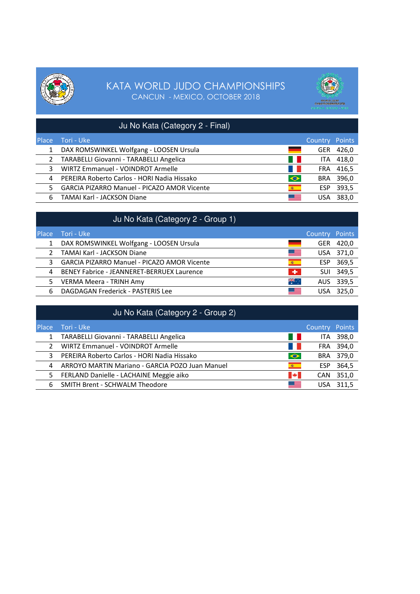



|              | Ju No Kata (Category 2 - Final)                    |            |                       |           |
|--------------|----------------------------------------------------|------------|-----------------------|-----------|
| <b>Place</b> | Tori - Uke                                         |            | <b>Country Points</b> |           |
| $\mathbf{1}$ | DAX ROMSWINKEL Wolfgang - LOOSEN Ursula            |            | <b>GER</b>            | 426,0     |
| $2^{\circ}$  | TARABELLI Giovanni - TARABELLI Angelica            | <b>4 P</b> |                       | ITA 418,0 |
| 3            | WIRTZ Emmanuel - VOINDROT Armelle                  |            |                       | FRA 416,5 |
| 4            | PEREIRA Roberto Carlos - HORI Nadia Hissako        | $\bullet$  |                       | BRA 396,0 |
| 5.           | <b>GARCIA PIZARRO Manuel - PICAZO AMOR Vicente</b> | (40)       | <b>ESP</b>            | 393,5     |
| 6            | TAMAI Karl - JACKSON Diane                         | ▓▆▅        |                       | 383.0     |

|              | Ju No Kata (Category 2 - Group 1)                  |                     |                       |           |
|--------------|----------------------------------------------------|---------------------|-----------------------|-----------|
| <b>Place</b> | Tori - Uke                                         |                     | <b>Country Points</b> |           |
| 1            | DAX ROMSWINKEL Wolfgang - LOOSEN Ursula            | ٠                   | GER                   | 420,0     |
|              | <b>TAMAI Karl - JACKSON Diane</b>                  | <u> Esternalist</u> |                       | USA 371,0 |
| 3            | <b>GARCIA PIZARRO Manuel - PICAZO AMOR Vicente</b> | $\mathcal{R}$       |                       | ESP 369,5 |
| 4            | BENEY Fabrice - JEANNERET-BERRUEX Laurence         | $\mathbf{H}$ .      |                       | SUI 349,5 |
| 5.           | VERMA Meera - TRINH Amy                            | ॣैं.                |                       | AUS 339,5 |
| 6            | DAGDAGAN Frederick - PASTERIS Lee                  | ▓▆▅                 | USA                   | 325.0     |

|              | Ju No Kata (Category 2 - Group 2)               |                |                       |           |
|--------------|-------------------------------------------------|----------------|-----------------------|-----------|
| <b>Place</b> | Tori - Uke                                      |                | <b>Country Points</b> |           |
| $\mathbf{1}$ | TARABELLI Giovanni - TARABELLI Angelica         | a ka           | <b>ITA</b>            | 398,0     |
|              | WIRTZ Emmanuel - VOINDROT Armelle               | $\blacksquare$ | FRA                   | 394,0     |
| 3            | PEREIRA Roberto Carlos - HORI Nadia Hissako     | $\bullet$      |                       | BRA 379,0 |
| 4            | ARROYO MARTIN Mariano - GARCIA POZO Juan Manuel | 卷一             | ESP                   | 364,5     |
| 5.           | FERLAND Danielle - LACHAINE Meggie aiko         | <b>PART</b>    | <b>CAN</b>            | 351,0     |
| 6            | <b>SMITH Brent - SCHWALM Theodore</b>           | ≋≡             | USA                   | 311.5     |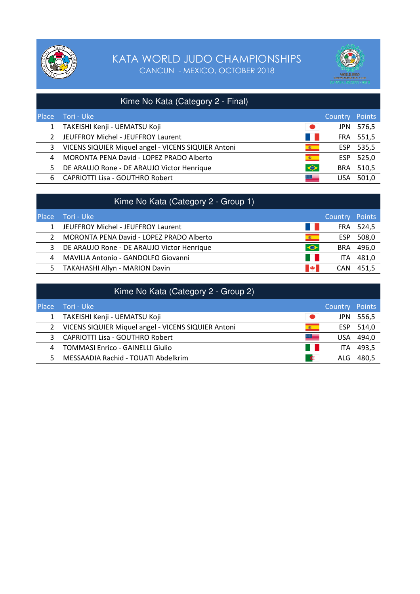



|       | Kime No Kata (Category 2 - Final)                   |                  |            |           |
|-------|-----------------------------------------------------|------------------|------------|-----------|
| Place | Tori - Uke                                          |                  | Country    | Points    |
|       | TAKEISHI Kenji - UEMATSU Koji                       | $\bullet$        | JPN.       | 576,5     |
| 2     | JEUFFROY Michel - JEUFFROY Laurent                  | a ka             |            | FRA 551,5 |
| 3     | VICENS SIQUIER Miquel angel - VICENS SIQUIER Antoni | (数)              | ESP.       | 535,5     |
| 4     | MORONTA PENA David - LOPEZ PRADO Alberto            | $\mathbb{R}^{n}$ | ESP        | 525,0     |
| 5     | DE ARAUJO Rone - DE ARAUJO Victor Henrique          | $\bullet$        | <b>BRA</b> | 510,5     |
| 6     | <b>CAPRIOTTI Lisa - GOUTHRO Robert</b>              | <u> 23 - J</u>   | USA        | 501.0     |

|              | Kime No Kata (Category 2 - Group 1)        |           |                |           |
|--------------|--------------------------------------------|-----------|----------------|-----------|
| <b>Place</b> | Tori - Uke                                 |           | Country Points |           |
| 1            | JEUFFROY Michel - JEUFFROY Laurent         | a ka      |                | FRA 524,5 |
|              | MORONTA PENA David - LOPEZ PRADO Alberto   | 6 1       | ESP            | 508,0     |
| 3            | DE ARAUJO Rone - DE ARAUJO Victor Henrique | $\bullet$ | <b>BRA</b>     | 496,0     |
| 4            | MAVILIA Antonio - GANDOLFO Giovanni        | - 1       | ITA.           | 481,0     |
| 5.           | TAKAHASHI Allyn - MARION Davin             | <b>M</b>  | <b>CAN</b>     | 451.5     |

|              | Kime No Kata (Category 2 - Group 2)                 |                   |                |       |
|--------------|-----------------------------------------------------|-------------------|----------------|-------|
| <b>Place</b> | Tori - Uke                                          |                   | Country Points |       |
|              | TAKEISHI Kenji - UEMATSU Koji                       | $\bullet$         | JPN.           | 556,5 |
| $\mathbf{2}$ | VICENS SIQUIER Miquel angel - VICENS SIQUIER Antoni | (6)               | ESP.           | 514,0 |
| 3            | <b>CAPRIOTTI Lisa - GOUTHRO Robert</b>              | <u> SSL I</u>     | <b>USA</b>     | 494,0 |
| 4            | <b>TOMMASI Enrico - GAINELLI Giulio</b>             | <b>TELEVISION</b> | ITA            | 493,5 |
| 5.           | MESSAADIA Rachid - TOUATI Abdelkrim                 | $\bullet$         | ALG.           | 480.5 |
|              |                                                     |                   |                |       |